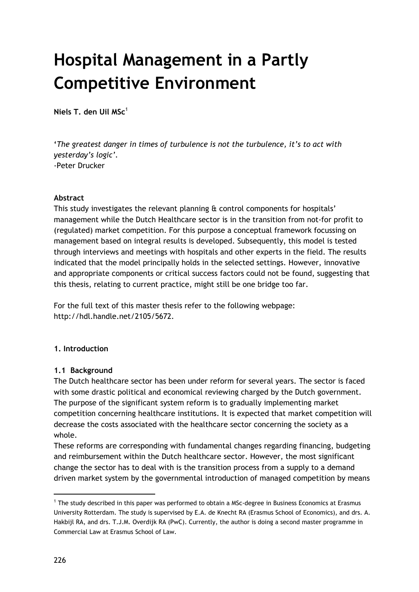# **Hospital Management in a Partly Competitive Environment**

**Niels T. den Uil MSc**<sup>1</sup>

**'***The greatest danger in times of turbulence is not the turbulence, it's to act with yesterday's logic'.*  -Peter Drucker

#### **Abstract**

This study investigates the relevant planning & control components for hospitals' management while the Dutch Healthcare sector is in the transition from not-for profit to (regulated) market competition. For this purpose a conceptual framework focussing on management based on integral results is developed. Subsequently, this model is tested through interviews and meetings with hospitals and other experts in the field. The results indicated that the model principally holds in the selected settings. However, innovative and appropriate components or critical success factors could not be found, suggesting that this thesis, relating to current practice, might still be one bridge too far.

For the full text of this master thesis refer to the following webpage: http://hdl.handle.net/2105/5672.

## **1. Introduction**

## **1.1 Background**

The Dutch healthcare sector has been under reform for several years. The sector is faced with some drastic political and economical reviewing charged by the Dutch government. The purpose of the significant system reform is to gradually implementing market competition concerning healthcare institutions. It is expected that market competition will decrease the costs associated with the healthcare sector concerning the society as a whole.

These reforms are corresponding with fundamental changes regarding financing, budgeting and reimbursement within the Dutch healthcare sector. However, the most significant change the sector has to deal with is the transition process from a supply to a demand driven market system by the governmental introduction of managed competition by means

 $\overline{a}$ 

<sup>&</sup>lt;sup>1</sup> The study described in this paper was performed to obtain a MSc-degree in Business Economics at Erasmus University Rotterdam. The study is supervised by E.A. de Knecht RA (Erasmus School of Economics), and drs. A. Hakbijl RA, and drs. T.J.M. Overdijk RA (PwC). Currently, the author is doing a second master programme in Commercial Law at Erasmus School of Law.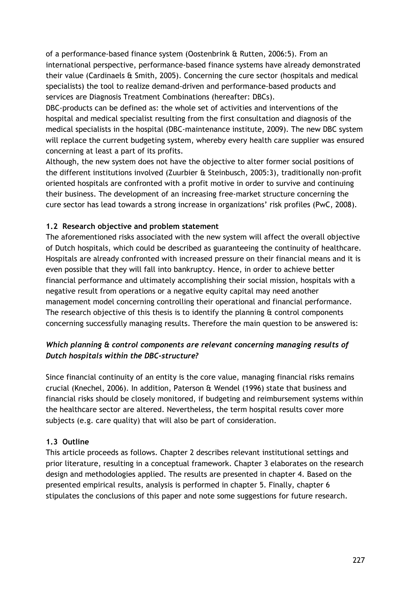of a performance-based finance system (Oostenbrink & Rutten, 2006:5). From an international perspective, performance-based finance systems have already demonstrated their value (Cardinaels & Smith, 2005). Concerning the cure sector (hospitals and medical specialists) the tool to realize demand-driven and performance-based products and services are Diagnosis Treatment Combinations (hereafter: DBCs).

DBC-products can be defined as: the whole set of activities and interventions of the hospital and medical specialist resulting from the first consultation and diagnosis of the medical specialists in the hospital (DBC-maintenance institute, 2009). The new DBC system will replace the current budgeting system, whereby every health care supplier was ensured concerning at least a part of its profits.

Although, the new system does not have the objective to alter former social positions of the different institutions involved (Zuurbier & Steinbusch, 2005:3), traditionally non-profit oriented hospitals are confronted with a profit motive in order to survive and continuing their business. The development of an increasing free-market structure concerning the cure sector has lead towards a strong increase in organizations' risk profiles (PwC, 2008).

# **1.2 Research objective and problem statement**

The aforementioned risks associated with the new system will affect the overall objective of Dutch hospitals, which could be described as guaranteeing the continuity of healthcare. Hospitals are already confronted with increased pressure on their financial means and it is even possible that they will fall into bankruptcy. Hence, in order to achieve better financial performance and ultimately accomplishing their social mission, hospitals with a negative result from operations or a negative equity capital may need another management model concerning controlling their operational and financial performance. The research objective of this thesis is to identify the planning  $\alpha$  control components concerning successfully managing results. Therefore the main question to be answered is:

# *Which planning & control components are relevant concerning managing results of Dutch hospitals within the DBC-structure?*

Since financial continuity of an entity is the core value, managing financial risks remains crucial (Knechel, 2006). In addition, Paterson & Wendel (1996) state that business and financial risks should be closely monitored, if budgeting and reimbursement systems within the healthcare sector are altered. Nevertheless, the term hospital results cover more subjects (e.g. care quality) that will also be part of consideration.

## **1.3 Outline**

This article proceeds as follows. Chapter 2 describes relevant institutional settings and prior literature, resulting in a conceptual framework. Chapter 3 elaborates on the research design and methodologies applied. The results are presented in chapter 4. Based on the presented empirical results, analysis is performed in chapter 5. Finally, chapter 6 stipulates the conclusions of this paper and note some suggestions for future research.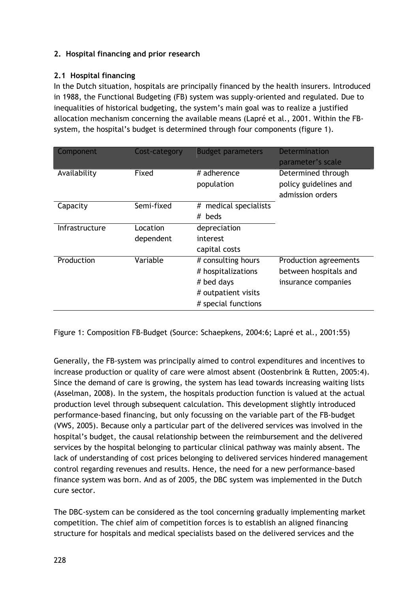# **2. Hospital financing and prior research**

# **2.1 Hospital financing**

In the Dutch situation, hospitals are principally financed by the health insurers. Introduced in 1988, the Functional Budgeting (FB) system was supply-oriented and regulated. Due to inequalities of historical budgeting, the system's main goal was to realize a justified allocation mechanism concerning the available means (Lapré et al., 2001. Within the FBsystem, the hospital's budget is determined through four components (figure 1).

| Component      | Cost-category         | <b>Budget parameters</b>                                                                             | <b>Determination</b><br>parameter's scale                             |
|----------------|-----------------------|------------------------------------------------------------------------------------------------------|-----------------------------------------------------------------------|
| Availability   | Fixed                 | # adherence<br>population                                                                            | Determined through<br>policy guidelines and<br>admission orders       |
| Capacity       | Semi-fixed            | # medical specialists<br># beds                                                                      |                                                                       |
| Infrastructure | Location<br>dependent | depreciation<br>interest<br>capital costs                                                            |                                                                       |
| Production     | Variable              | # consulting hours<br># hospitalizations<br># bed days<br># outpatient visits<br># special functions | Production agreements<br>between hospitals and<br>insurance companies |

Figure 1: Composition FB-Budget (Source: Schaepkens, 2004:6; Lapré et al., 2001:55)

Generally, the FB-system was principally aimed to control expenditures and incentives to increase production or quality of care were almost absent (Oostenbrink & Rutten, 2005:4). Since the demand of care is growing, the system has lead towards increasing waiting lists (Asselman, 2008). In the system, the hospitals production function is valued at the actual production level through subsequent calculation. This development slightly introduced performance-based financing, but only focussing on the variable part of the FB-budget (VWS, 2005). Because only a particular part of the delivered services was involved in the hospital's budget, the causal relationship between the reimbursement and the delivered services by the hospital belonging to particular clinical pathway was mainly absent. The lack of understanding of cost prices belonging to delivered services hindered management control regarding revenues and results. Hence, the need for a new performance-based finance system was born. And as of 2005, the DBC system was implemented in the Dutch cure sector.

The DBC-system can be considered as the tool concerning gradually implementing market competition. The chief aim of competition forces is to establish an aligned financing structure for hospitals and medical specialists based on the delivered services and the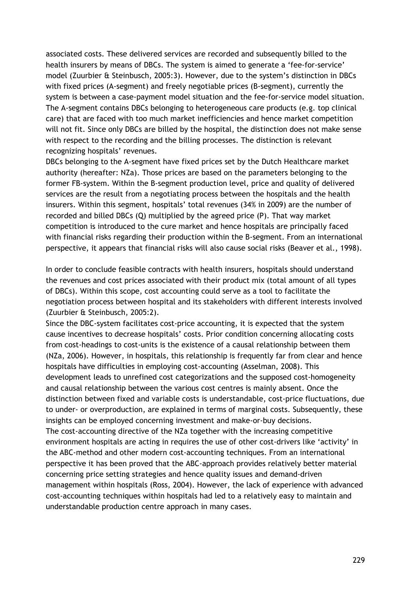associated costs. These delivered services are recorded and subsequently billed to the health insurers by means of DBCs. The system is aimed to generate a 'fee-for-service' model (Zuurbier & Steinbusch, 2005:3). However, due to the system's distinction in DBCs with fixed prices (A-segment) and freely negotiable prices (B-segment), currently the system is between a case-payment model situation and the fee-for-service model situation. The A-segment contains DBCs belonging to heterogeneous care products (e.g. top clinical care) that are faced with too much market inefficiencies and hence market competition will not fit. Since only DBCs are billed by the hospital, the distinction does not make sense with respect to the recording and the billing processes. The distinction is relevant recognizing hospitals' revenues.

DBCs belonging to the A-segment have fixed prices set by the Dutch Healthcare market authority (hereafter: NZa). Those prices are based on the parameters belonging to the former FB-system. Within the B-segment production level, price and quality of delivered services are the result from a negotiating process between the hospitals and the health insurers. Within this segment, hospitals' total revenues (34% in 2009) are the number of recorded and billed DBCs (Q) multiplied by the agreed price (P). That way market competition is introduced to the cure market and hence hospitals are principally faced with financial risks regarding their production within the B-segment. From an international perspective, it appears that financial risks will also cause social risks (Beaver et al., 1998).

In order to conclude feasible contracts with health insurers, hospitals should understand the revenues and cost prices associated with their product mix (total amount of all types of DBCs). Within this scope, cost accounting could serve as a tool to facilitate the negotiation process between hospital and its stakeholders with different interests involved (Zuurbier & Steinbusch, 2005:2).

Since the DBC-system facilitates cost-price accounting, it is expected that the system cause incentives to decrease hospitals' costs. Prior condition concerning allocating costs from cost-headings to cost-units is the existence of a causal relationship between them (NZa, 2006). However, in hospitals, this relationship is frequently far from clear and hence hospitals have difficulties in employing cost-accounting (Asselman, 2008). This development leads to unrefined cost categorizations and the supposed cost-homogeneity and causal relationship between the various cost centres is mainly absent. Once the distinction between fixed and variable costs is understandable, cost-price fluctuations, due to under- or overproduction, are explained in terms of marginal costs. Subsequently, these insights can be employed concerning investment and make-or-buy decisions. The cost-accounting directive of the NZa together with the increasing competitive environment hospitals are acting in requires the use of other cost-drivers like 'activity' in the ABC-method and other modern cost-accounting techniques. From an international perspective it has been proved that the ABC-approach provides relatively better material concerning price setting strategies and hence quality issues and demand-driven management within hospitals (Ross, 2004). However, the lack of experience with advanced cost-accounting techniques within hospitals had led to a relatively easy to maintain and understandable production centre approach in many cases.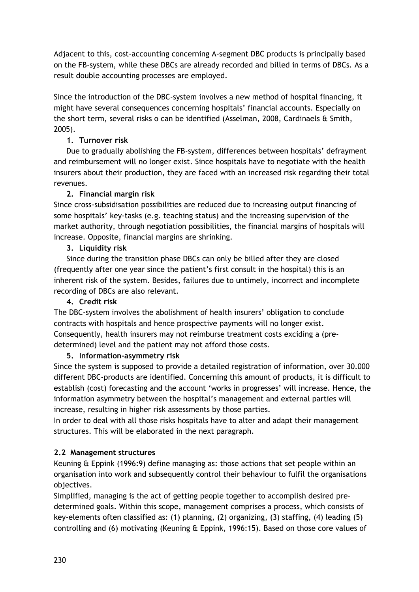Adjacent to this, cost-accounting concerning A-segment DBC products is principally based on the FB-system, while these DBCs are already recorded and billed in terms of DBCs. As a result double accounting processes are employed.

Since the introduction of the DBC-system involves a new method of hospital financing, it might have several consequences concerning hospitals' financial accounts. Especially on the short term, several risks o can be identified (Asselman, 2008, Cardinaels & Smith, 2005).

# **1. Turnover risk**

Due to gradually abolishing the FB-system, differences between hospitals' defrayment and reimbursement will no longer exist. Since hospitals have to negotiate with the health insurers about their production, they are faced with an increased risk regarding their total revenues.

# **2. Financial margin risk**

Since cross-subsidisation possibilities are reduced due to increasing output financing of some hospitals' key-tasks (e.g. teaching status) and the increasing supervision of the market authority, through negotiation possibilities, the financial margins of hospitals will increase. Opposite, financial margins are shrinking.

# **3. Liquidity risk**

Since during the transition phase DBCs can only be billed after they are closed (frequently after one year since the patient's first consult in the hospital) this is an inherent risk of the system. Besides, failures due to untimely, incorrect and incomplete recording of DBCs are also relevant.

## **4. Credit risk**

The DBC-system involves the abolishment of health insurers' obligation to conclude contracts with hospitals and hence prospective payments will no longer exist. Consequently, health insurers may not reimburse treatment costs exciding a (predetermined) level and the patient may not afford those costs.

## **5. Information-asymmetry risk**

Since the system is supposed to provide a detailed registration of information, over 30.000 different DBC-products are identified. Concerning this amount of products, it is difficult to establish (cost) forecasting and the account 'works in progresses' will increase. Hence, the information asymmetry between the hospital's management and external parties will increase, resulting in higher risk assessments by those parties.

In order to deal with all those risks hospitals have to alter and adapt their management structures. This will be elaborated in the next paragraph.

# **2.2 Management structures**

Keuning & Eppink (1996:9) define managing as: those actions that set people within an organisation into work and subsequently control their behaviour to fulfil the organisations objectives.

Simplified, managing is the act of getting people together to accomplish desired predetermined goals. Within this scope, management comprises a process, which consists of key-elements often classified as: (1) planning, (2) organizing, (3) staffing, (4) leading (5) controlling and (6) motivating (Keuning & Eppink, 1996:15). Based on those core values of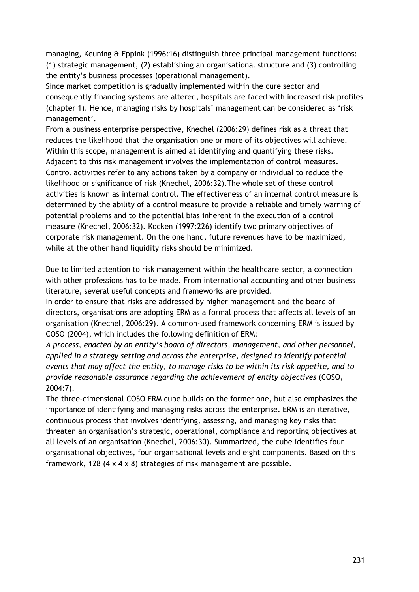managing, Keuning & Eppink (1996:16) distinguish three principal management functions: (1) strategic management, (2) establishing an organisational structure and (3) controlling the entity's business processes (operational management).

Since market competition is gradually implemented within the cure sector and consequently financing systems are altered, hospitals are faced with increased risk profiles (chapter 1). Hence, managing risks by hospitals' management can be considered as 'risk management'.

From a business enterprise perspective, Knechel (2006:29) defines risk as a threat that reduces the likelihood that the organisation one or more of its objectives will achieve. Within this scope, management is aimed at identifying and quantifying these risks. Adjacent to this risk management involves the implementation of control measures. Control activities refer to any actions taken by a company or individual to reduce the likelihood or significance of risk (Knechel, 2006:32).The whole set of these control activities is known as internal control. The effectiveness of an internal control measure is determined by the ability of a control measure to provide a reliable and timely warning of potential problems and to the potential bias inherent in the execution of a control measure (Knechel, 2006:32). Kocken (1997:226) identify two primary objectives of corporate risk management. On the one hand, future revenues have to be maximized, while at the other hand liquidity risks should be minimized.

Due to limited attention to risk management within the healthcare sector, a connection with other professions has to be made. From international accounting and other business literature, several useful concepts and frameworks are provided.

In order to ensure that risks are addressed by higher management and the board of directors, organisations are adopting ERM as a formal process that affects all levels of an organisation (Knechel, 2006:29). A common-used framework concerning ERM is issued by COSO (2004), which includes the following definition of ERM:

*A process, enacted by an entity's board of directors, management, and other personnel, applied in a strategy setting and across the enterprise, designed to identify potential events that may affect the entity, to manage risks to be within its risk appetite, and to provide reasonable assurance regarding the achievement of entity objectives* (COSO, 2004:7).

The three-dimensional COSO ERM cube builds on the former one, but also emphasizes the importance of identifying and managing risks across the enterprise. ERM is an iterative, continuous process that involves identifying, assessing, and managing key risks that threaten an organisation's strategic, operational, compliance and reporting objectives at all levels of an organisation (Knechel, 2006:30). Summarized, the cube identifies four organisational objectives, four organisational levels and eight components. Based on this framework, 128 (4 x 4 x 8) strategies of risk management are possible.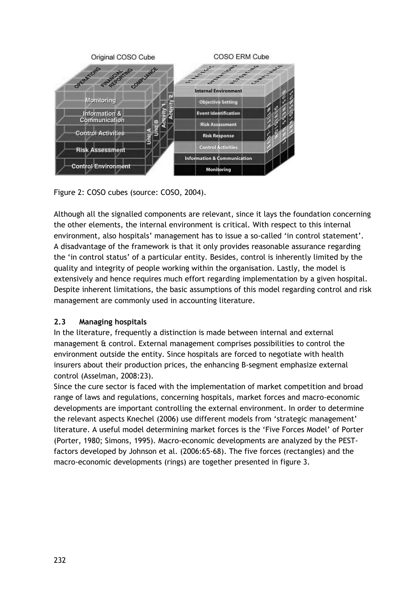

Figure 2: COSO cubes (source: COSO, 2004).

Although all the signalled components are relevant, since it lays the foundation concerning the other elements, the internal environment is critical. With respect to this internal environment, also hospitals' management has to issue a so-called 'in control statement'. A disadvantage of the framework is that it only provides reasonable assurance regarding the 'in control status' of a particular entity. Besides, control is inherently limited by the quality and integrity of people working within the organisation. Lastly, the model is extensively and hence requires much effort regarding implementation by a given hospital. Despite inherent limitations, the basic assumptions of this model regarding control and risk management are commonly used in accounting literature.

# **2.3 Managing hospitals**

In the literature, frequently a distinction is made between internal and external management & control. External management comprises possibilities to control the environment outside the entity. Since hospitals are forced to negotiate with health insurers about their production prices, the enhancing B-segment emphasize external control (Asselman, 2008:23).

Since the cure sector is faced with the implementation of market competition and broad range of laws and regulations, concerning hospitals, market forces and macro-economic developments are important controlling the external environment. In order to determine the relevant aspects Knechel (2006) use different models from 'strategic management' literature. A useful model determining market forces is the 'Five Forces Model' of Porter (Porter, 1980; Simons, 1995). Macro-economic developments are analyzed by the PESTfactors developed by Johnson et al. (2006:65-68). The five forces (rectangles) and the macro-economic developments (rings) are together presented in figure 3.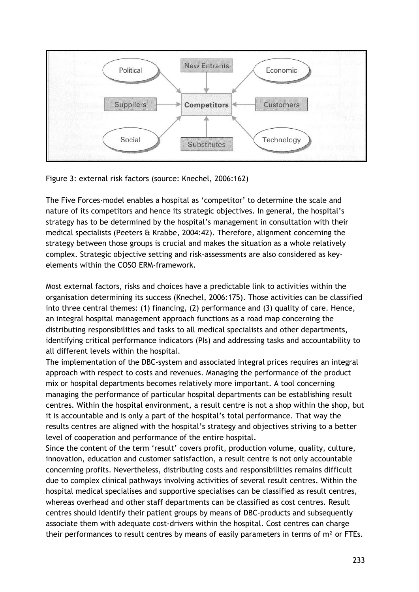

Figure 3: external risk factors (source: Knechel, 2006:162)

The Five Forces-model enables a hospital as 'competitor' to determine the scale and nature of its competitors and hence its strategic objectives. In general, the hospital's strategy has to be determined by the hospital's management in consultation with their medical specialists (Peeters & Krabbe, 2004:42). Therefore, alignment concerning the strategy between those groups is crucial and makes the situation as a whole relatively complex. Strategic objective setting and risk-assessments are also considered as keyelements within the COSO ERM-framework.

Most external factors, risks and choices have a predictable link to activities within the organisation determining its success (Knechel, 2006:175). Those activities can be classified into three central themes: (1) financing, (2) performance and (3) quality of care. Hence, an integral hospital management approach functions as a road map concerning the distributing responsibilities and tasks to all medical specialists and other departments, identifying critical performance indicators (PIs) and addressing tasks and accountability to all different levels within the hospital.

The implementation of the DBC-system and associated integral prices requires an integral approach with respect to costs and revenues. Managing the performance of the product mix or hospital departments becomes relatively more important. A tool concerning managing the performance of particular hospital departments can be establishing result centres. Within the hospital environment, a result centre is not a shop within the shop, but it is accountable and is only a part of the hospital's total performance. That way the results centres are aligned with the hospital's strategy and objectives striving to a better level of cooperation and performance of the entire hospital.

Since the content of the term 'result' covers profit, production volume, quality, culture, innovation, education and customer satisfaction, a result centre is not only accountable concerning profits. Nevertheless, distributing costs and responsibilities remains difficult due to complex clinical pathways involving activities of several result centres. Within the hospital medical specialises and supportive specialises can be classified as result centres, whereas overhead and other staff departments can be classified as cost centres. Result centres should identify their patient groups by means of DBC-products and subsequently associate them with adequate cost-drivers within the hospital. Cost centres can charge their performances to result centres by means of easily parameters in terms of  $m<sup>2</sup>$  or FTEs.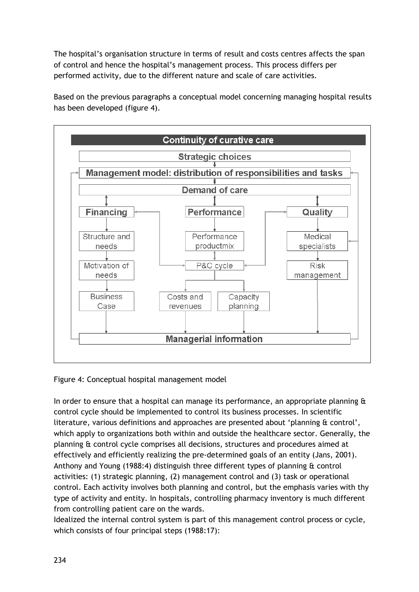The hospital's organisation structure in terms of result and costs centres affects the span of control and hence the hospital's management process. This process differs per performed activity, due to the different nature and scale of care activities.

Based on the previous paragraphs a conceptual model concerning managing hospital results has been developed (figure 4).



Figure 4: Conceptual hospital management model

In order to ensure that a hospital can manage its performance, an appropriate planning  $\alpha$ control cycle should be implemented to control its business processes. In scientific literature, various definitions and approaches are presented about 'planning & control', which apply to organizations both within and outside the healthcare sector. Generally, the planning & control cycle comprises all decisions, structures and procedures aimed at effectively and efficiently realizing the pre-determined goals of an entity (Jans, 2001). Anthony and Young (1988:4) distinguish three different types of planning & control activities: (1) strategic planning, (2) management control and (3) task or operational control. Each activity involves both planning and control, but the emphasis varies with thy type of activity and entity. In hospitals, controlling pharmacy inventory is much different from controlling patient care on the wards.

Idealized the internal control system is part of this management control process or cycle, which consists of four principal steps (1988:17):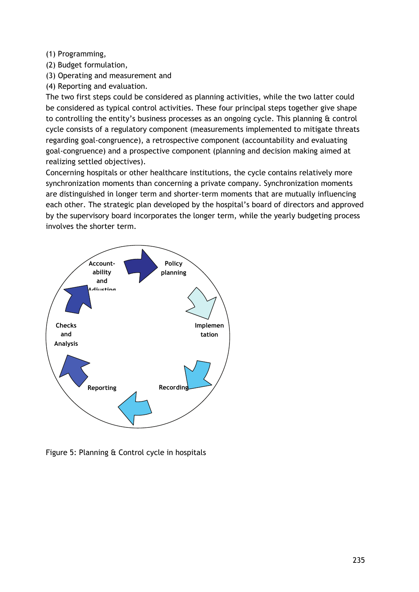## (1) Programming,

(2) Budget formulation,

(3) Operating and measurement and

(4) Reporting and evaluation.

The two first steps could be considered as planning activities, while the two latter could be considered as typical control activities. These four principal steps together give shape to controlling the entity's business processes as an ongoing cycle. This planning & control cycle consists of a regulatory component (measurements implemented to mitigate threats regarding goal-congruence), a retrospective component (accountability and evaluating goal-congruence) and a prospective component (planning and decision making aimed at realizing settled objectives).

Concerning hospitals or other healthcare institutions, the cycle contains relatively more synchronization moments than concerning a private company. Synchronization moments are distinguished in longer term and shorter-term moments that are mutually influencing each other. The strategic plan developed by the hospital's board of directors and approved by the supervisory board incorporates the longer term, while the yearly budgeting process involves the shorter term.



Figure 5: Planning & Control cycle in hospitals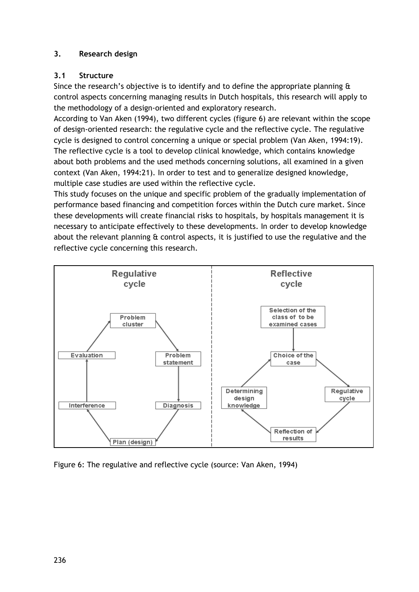# **3. Research design**

# **3.1 Structure**

Since the research's objective is to identify and to define the appropriate planning  $\theta$ control aspects concerning managing results in Dutch hospitals, this research will apply to the methodology of a design-oriented and exploratory research.

According to Van Aken (1994), two different cycles (figure 6) are relevant within the scope of design-oriented research: the regulative cycle and the reflective cycle. The regulative cycle is designed to control concerning a unique or special problem (Van Aken, 1994:19). The reflective cycle is a tool to develop clinical knowledge, which contains knowledge about both problems and the used methods concerning solutions, all examined in a given context (Van Aken, 1994:21). In order to test and to generalize designed knowledge, multiple case studies are used within the reflective cycle.

This study focuses on the unique and specific problem of the gradually implementation of performance based financing and competition forces within the Dutch cure market. Since these developments will create financial risks to hospitals, by hospitals management it is necessary to anticipate effectively to these developments. In order to develop knowledge about the relevant planning & control aspects, it is justified to use the regulative and the reflective cycle concerning this research.



Figure 6: The regulative and reflective cycle (source: Van Aken, 1994)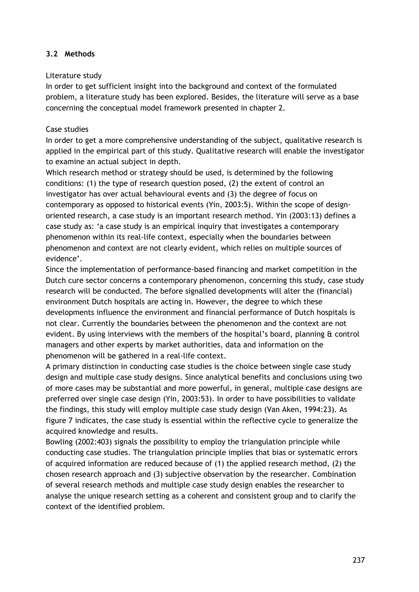# **3.2 Methods**

#### Literature study

In order to get sufficient insight into the background and context of the formulated problem, a literature study has been explored. Besides, the literature will serve as a base concerning the conceptual model framework presented in chapter 2.

## Case studies

In order to get a more comprehensive understanding of the subject, qualitative research is applied in the empirical part of this study. Qualitative research will enable the investigator to examine an actual subject in depth.

Which research method or strategy should be used, is determined by the following conditions: (1) the type of research question posed, (2) the extent of control an investigator has over actual behavioural events and (3) the degree of focus on contemporary as opposed to historical events (Yin, 2003:5). Within the scope of designoriented research, a case study is an important research method. Yin (2003:13) defines a case study as: 'a case study is an empirical inquiry that investigates a contemporary phenomenon within its real-life context, especially when the boundaries between phenomenon and context are not clearly evident, which relies on multiple sources of evidence'.

Since the implementation of performance-based financing and market competition in the Dutch cure sector concerns a contemporary phenomenon, concerning this study, case study research will be conducted. The before signalled developments will alter the (financial) environment Dutch hospitals are acting in. However, the degree to which these developments influence the environment and financial performance of Dutch hospitals is not clear. Currently the boundaries between the phenomenon and the context are not evident. By using interviews with the members of the hospital's board, planning & control managers and other experts by market authorities, data and information on the phenomenon will be gathered in a real-life context.

A primary distinction in conducting case studies is the choice between single case study design and multiple case study designs. Since analytical benefits and conclusions using two of more cases may be substantial and more powerful, in general, multiple case designs are preferred over single case design (Yin, 2003:53). In order to have possibilities to validate the findings, this study will employ multiple case study design (Van Aken, 1994:23). As figure 7 indicates, the case study is essential within the reflective cycle to generalize the acquired knowledge and results.

Bowling (2002:403) signals the possibility to employ the triangulation principle while conducting case studies. The triangulation principle implies that bias or systematic errors of acquired information are reduced because of (1) the applied research method, (2) the chosen research approach and (3) subjective observation by the researcher. Combination of several research methods and multiple case study design enables the researcher to analyse the unique research setting as a coherent and consistent group and to clarify the context of the identified problem.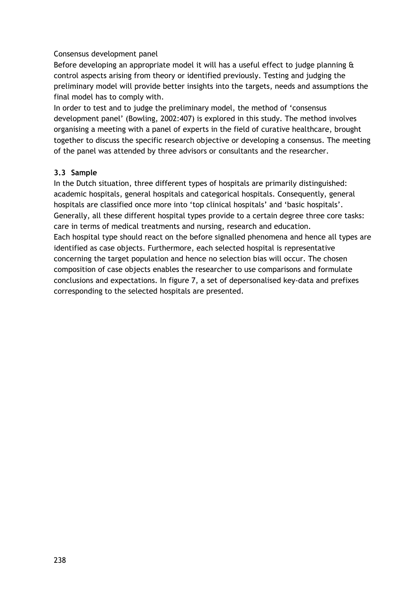## Consensus development panel

Before developing an appropriate model it will has a useful effect to judge planning & control aspects arising from theory or identified previously. Testing and judging the preliminary model will provide better insights into the targets, needs and assumptions the final model has to comply with.

In order to test and to judge the preliminary model, the method of 'consensus development panel' (Bowling, 2002:407) is explored in this study. The method involves organising a meeting with a panel of experts in the field of curative healthcare, brought together to discuss the specific research objective or developing a consensus. The meeting of the panel was attended by three advisors or consultants and the researcher.

# **3.3 Sample**

In the Dutch situation, three different types of hospitals are primarily distinguished: academic hospitals, general hospitals and categorical hospitals. Consequently, general hospitals are classified once more into 'top clinical hospitals' and 'basic hospitals'. Generally, all these different hospital types provide to a certain degree three core tasks: care in terms of medical treatments and nursing, research and education. Each hospital type should react on the before signalled phenomena and hence all types are identified as case objects. Furthermore, each selected hospital is representative concerning the target population and hence no selection bias will occur. The chosen composition of case objects enables the researcher to use comparisons and formulate conclusions and expectations. In figure 7, a set of depersonalised key-data and prefixes corresponding to the selected hospitals are presented.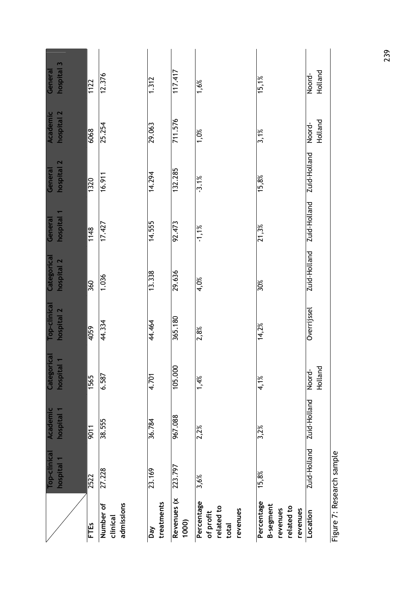|                                                                      | Top-clinical | Academic     | $\overline{a}$<br>Categor | <b>Top-clinical</b> | Categorical  | General      | General      | Academic          | General           |
|----------------------------------------------------------------------|--------------|--------------|---------------------------|---------------------|--------------|--------------|--------------|-------------------|-------------------|
|                                                                      | hospital 1   | hospital 1   | hospital                  | hospital 2          | hospital 2   | hospital     | hospital 2   | hospital 2        | m<br>hospital     |
| <b>FTES</b>                                                          | 2522         | 9011         | 1565                      | 4059                | 360          | 1148         | 1320         | 6068              | 1122              |
| admissions<br>Number of<br>clinical                                  | 27.228       | 38.555       | 6.587                     | 44.334              | 1.036        | 17.427       | 16.911       | 25.254            | 12.376            |
| treatments<br>Day                                                    | 23.169       | 36.784       | 4.701                     | 44.464              | 13.338       | 14.555       | 14.294       | 29.063            | 1.312             |
| Revenues (x<br>1000)                                                 | 223.797      | 967.088      | 105.000                   | 365.180             | 29.636       | 92.473       | 132.285      | 711.576           | 117.417           |
| Percentage<br>related to<br>revenues<br>of profit<br>total           | 3,6%         | 2,2%         | 1,4%                      | 2,8%                | 4,0%         | $-1,1%$      | $-3.1%$      | $1,0\%$           | 1,6%              |
| Percentage<br><b>B-segment</b><br>related to<br>revenues<br>revenues | 15,8%        | 3,2%         | 4,1%                      | 14,2%               | 30%          | 21,3%        | 15,8%        | 3,1%              | 15,1%             |
| Location                                                             | Zuid-Holland | Zuid-Holland | Holland<br>Noord-         | Overrijssel         | Zuid-Holland | Zuid-Holland | Zuid-Holland | Holland<br>Noord- | Holland<br>Noord- |
| Figure 7: Research sample                                            |              |              |                           |                     |              |              |              |                   |                   |

239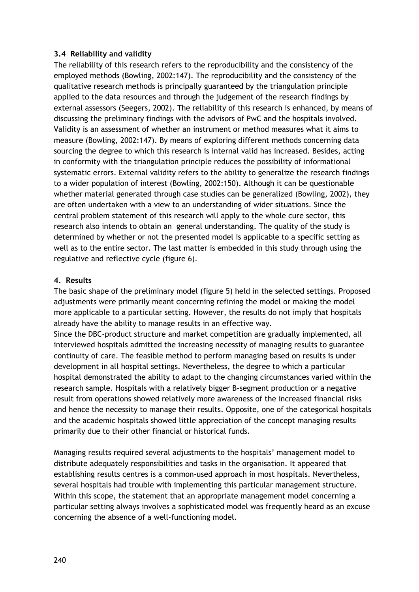## **3.4 Reliability and validity**

The reliability of this research refers to the reproducibility and the consistency of the employed methods (Bowling, 2002:147). The reproducibility and the consistency of the qualitative research methods is principally guaranteed by the triangulation principle applied to the data resources and through the judgement of the research findings by external assessors (Seegers, 2002). The reliability of this research is enhanced, by means of discussing the preliminary findings with the advisors of PwC and the hospitals involved. Validity is an assessment of whether an instrument or method measures what it aims to measure (Bowling, 2002:147). By means of exploring different methods concerning data sourcing the degree to which this research is internal valid has increased. Besides, acting in conformity with the triangulation principle reduces the possibility of informational systematic errors. External validity refers to the ability to generalize the research findings to a wider population of interest (Bowling, 2002:150). Although it can be questionable whether material generated through case studies can be generalized (Bowling, 2002), they are often undertaken with a view to an understanding of wider situations. Since the central problem statement of this research will apply to the whole cure sector, this research also intends to obtain an general understanding. The quality of the study is determined by whether or not the presented model is applicable to a specific setting as well as to the entire sector. The last matter is embedded in this study through using the regulative and reflective cycle (figure 6).

## **4. Results**

The basic shape of the preliminary model (figure 5) held in the selected settings. Proposed adjustments were primarily meant concerning refining the model or making the model more applicable to a particular setting. However, the results do not imply that hospitals already have the ability to manage results in an effective way.

Since the DBC-product structure and market competition are gradually implemented, all interviewed hospitals admitted the increasing necessity of managing results to guarantee continuity of care. The feasible method to perform managing based on results is under development in all hospital settings. Nevertheless, the degree to which a particular hospital demonstrated the ability to adapt to the changing circumstances varied within the research sample. Hospitals with a relatively bigger B-segment production or a negative result from operations showed relatively more awareness of the increased financial risks and hence the necessity to manage their results. Opposite, one of the categorical hospitals and the academic hospitals showed little appreciation of the concept managing results primarily due to their other financial or historical funds.

Managing results required several adjustments to the hospitals' management model to distribute adequately responsibilities and tasks in the organisation. It appeared that establishing results centres is a common-used approach in most hospitals. Nevertheless, several hospitals had trouble with implementing this particular management structure. Within this scope, the statement that an appropriate management model concerning a particular setting always involves a sophisticated model was frequently heard as an excuse concerning the absence of a well-functioning model.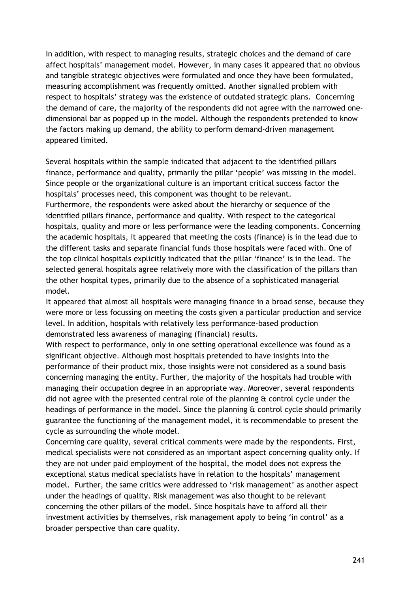In addition, with respect to managing results, strategic choices and the demand of care affect hospitals' management model. However, in many cases it appeared that no obvious and tangible strategic objectives were formulated and once they have been formulated, measuring accomplishment was frequently omitted. Another signalled problem with respect to hospitals' strategy was the existence of outdated strategic plans. Concerning the demand of care, the majority of the respondents did not agree with the narrowed onedimensional bar as popped up in the model. Although the respondents pretended to know the factors making up demand, the ability to perform demand-driven management appeared limited.

Several hospitals within the sample indicated that adjacent to the identified pillars finance, performance and quality, primarily the pillar 'people' was missing in the model. Since people or the organizational culture is an important critical success factor the hospitals' processes need, this component was thought to be relevant. Furthermore, the respondents were asked about the hierarchy or sequence of the identified pillars finance, performance and quality. With respect to the categorical hospitals, quality and more or less performance were the leading components. Concerning the academic hospitals, it appeared that meeting the costs (finance) is in the lead due to the different tasks and separate financial funds those hospitals were faced with. One of the top clinical hospitals explicitly indicated that the pillar 'finance' is in the lead. The selected general hospitals agree relatively more with the classification of the pillars than the other hospital types, primarily due to the absence of a sophisticated managerial model.

It appeared that almost all hospitals were managing finance in a broad sense, because they were more or less focussing on meeting the costs given a particular production and service level. In addition, hospitals with relatively less performance-based production demonstrated less awareness of managing (financial) results.

With respect to performance, only in one setting operational excellence was found as a significant objective. Although most hospitals pretended to have insights into the performance of their product mix, those insights were not considered as a sound basis concerning managing the entity. Further, the majority of the hospitals had trouble with managing their occupation degree in an appropriate way. Moreover, several respondents did not agree with the presented central role of the planning & control cycle under the headings of performance in the model. Since the planning & control cycle should primarily guarantee the functioning of the management model, it is recommendable to present the cycle as surrounding the whole model.

Concerning care quality, several critical comments were made by the respondents. First, medical specialists were not considered as an important aspect concerning quality only. If they are not under paid employment of the hospital, the model does not express the exceptional status medical specialists have in relation to the hospitals' management model. Further, the same critics were addressed to 'risk management' as another aspect under the headings of quality. Risk management was also thought to be relevant concerning the other pillars of the model. Since hospitals have to afford all their investment activities by themselves, risk management apply to being 'in control' as a broader perspective than care quality.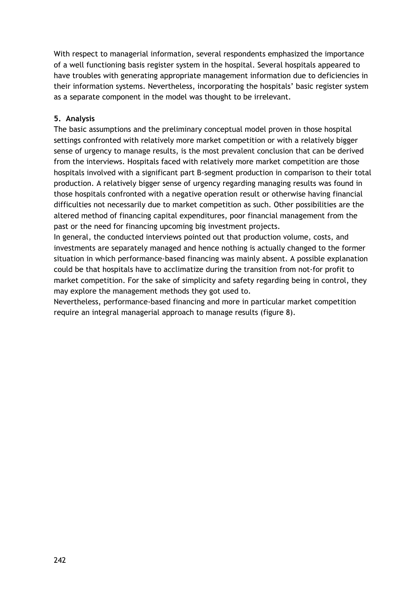With respect to managerial information, several respondents emphasized the importance of a well functioning basis register system in the hospital. Several hospitals appeared to have troubles with generating appropriate management information due to deficiencies in their information systems. Nevertheless, incorporating the hospitals' basic register system as a separate component in the model was thought to be irrelevant.

# **5. Analysis**

The basic assumptions and the preliminary conceptual model proven in those hospital settings confronted with relatively more market competition or with a relatively bigger sense of urgency to manage results, is the most prevalent conclusion that can be derived from the interviews. Hospitals faced with relatively more market competition are those hospitals involved with a significant part B-segment production in comparison to their total production. A relatively bigger sense of urgency regarding managing results was found in those hospitals confronted with a negative operation result or otherwise having financial difficulties not necessarily due to market competition as such. Other possibilities are the altered method of financing capital expenditures, poor financial management from the past or the need for financing upcoming big investment projects.

In general, the conducted interviews pointed out that production volume, costs, and investments are separately managed and hence nothing is actually changed to the former situation in which performance-based financing was mainly absent. A possible explanation could be that hospitals have to acclimatize during the transition from not-for profit to market competition. For the sake of simplicity and safety regarding being in control, they may explore the management methods they got used to.

Nevertheless, performance-based financing and more in particular market competition require an integral managerial approach to manage results (figure 8).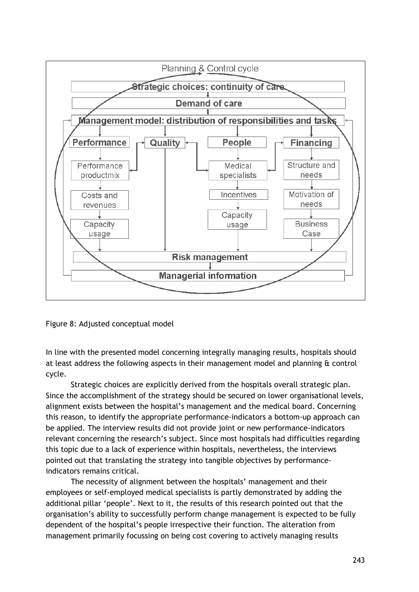

Figure 8: Adjusted conceptual model

In line with the presented model concerning integrally managing results, hospitals should at least address the following aspects in their management model and planning & control cycle.

Strategic choices are explicitly derived from the hospitals overall strategic plan. Since the accomplishment of the strategy should be secured on lower organisational levels, alignment exists between the hospital's management and the medical board. Concerning this reason, to identify the appropriate performance-indicators a bottom-up approach can be applied. The interview results did not provide joint or new performance-indicators relevant concerning the research's subject. Since most hospitals had difficulties regarding this topic due to a lack of experience within hospitals, nevertheless, the interviews pointed out that translating the strategy into tangible objectives by performanceindicators remains critical.

The necessity of alignment between the hospitals' management and their employees or self-employed medical specialists is partly demonstrated by adding the additional pillar 'people'. Next to it, the results of this research pointed out that the organisation's ability to successfully perform change management is expected to be fully dependent of the hospital's people irrespective their function. The alteration from management primarily focussing on being cost covering to actively managing results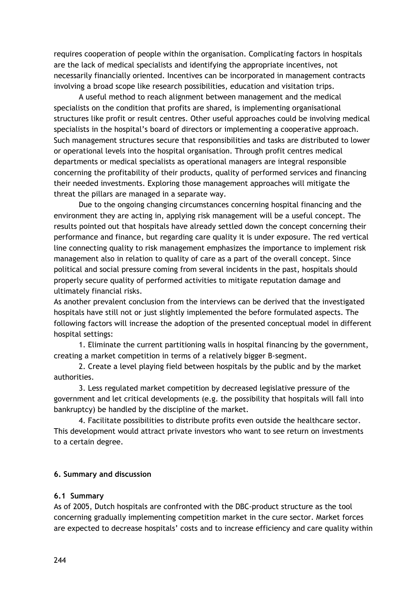requires cooperation of people within the organisation. Complicating factors in hospitals are the lack of medical specialists and identifying the appropriate incentives, not necessarily financially oriented. Incentives can be incorporated in management contracts involving a broad scope like research possibilities, education and visitation trips.

A useful method to reach alignment between management and the medical specialists on the condition that profits are shared, is implementing organisational structures like profit or result centres. Other useful approaches could be involving medical specialists in the hospital's board of directors or implementing a cooperative approach. Such management structures secure that responsibilities and tasks are distributed to lower or operational levels into the hospital organisation. Through profit centres medical departments or medical specialists as operational managers are integral responsible concerning the profitability of their products, quality of performed services and financing their needed investments. Exploring those management approaches will mitigate the threat the pillars are managed in a separate way.

Due to the ongoing changing circumstances concerning hospital financing and the environment they are acting in, applying risk management will be a useful concept. The results pointed out that hospitals have already settled down the concept concerning their performance and finance, but regarding care quality it is under exposure. The red vertical line connecting quality to risk management emphasizes the importance to implement risk management also in relation to quality of care as a part of the overall concept. Since political and social pressure coming from several incidents in the past, hospitals should properly secure quality of performed activities to mitigate reputation damage and ultimately financial risks.

As another prevalent conclusion from the interviews can be derived that the investigated hospitals have still not or just slightly implemented the before formulated aspects. The following factors will increase the adoption of the presented conceptual model in different hospital settings:

1. Eliminate the current partitioning walls in hospital financing by the government, creating a market competition in terms of a relatively bigger B-segment.

2. Create a level playing field between hospitals by the public and by the market authorities.

3. Less regulated market competition by decreased legislative pressure of the government and let critical developments (e.g. the possibility that hospitals will fall into bankruptcy) be handled by the discipline of the market.

4. Facilitate possibilities to distribute profits even outside the healthcare sector. This development would attract private investors who want to see return on investments to a certain degree.

## **6. Summary and discussion**

#### **6.1 Summary**

As of 2005, Dutch hospitals are confronted with the DBC-product structure as the tool concerning gradually implementing competition market in the cure sector. Market forces are expected to decrease hospitals' costs and to increase efficiency and care quality within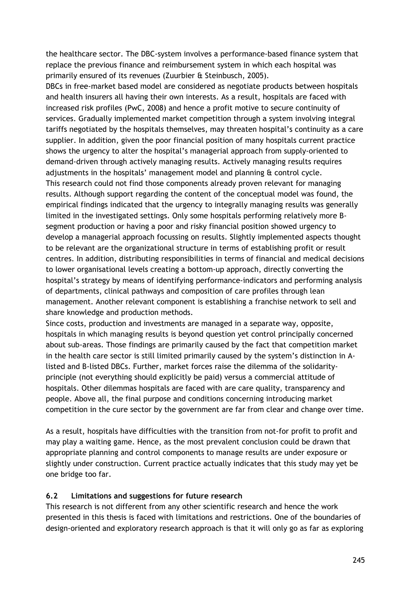the healthcare sector. The DBC-system involves a performance-based finance system that replace the previous finance and reimbursement system in which each hospital was primarily ensured of its revenues (Zuurbier & Steinbusch, 2005).

DBCs in free-market based model are considered as negotiate products between hospitals and health insurers all having their own interests. As a result, hospitals are faced with increased risk profiles (PwC, 2008) and hence a profit motive to secure continuity of services. Gradually implemented market competition through a system involving integral tariffs negotiated by the hospitals themselves, may threaten hospital's continuity as a care supplier. In addition, given the poor financial position of many hospitals current practice shows the urgency to alter the hospital's managerial approach from supply-oriented to demand-driven through actively managing results. Actively managing results requires adjustments in the hospitals' management model and planning & control cycle. This research could not find those components already proven relevant for managing results. Although support regarding the content of the conceptual model was found, the empirical findings indicated that the urgency to integrally managing results was generally limited in the investigated settings. Only some hospitals performing relatively more Bsegment production or having a poor and risky financial position showed urgency to develop a managerial approach focussing on results. Slightly implemented aspects thought to be relevant are the organizational structure in terms of establishing profit or result centres. In addition, distributing responsibilities in terms of financial and medical decisions to lower organisational levels creating a bottom-up approach, directly converting the hospital's strategy by means of identifying performance-indicators and performing analysis of departments, clinical pathways and composition of care profiles through lean management. Another relevant component is establishing a franchise network to sell and share knowledge and production methods.

Since costs, production and investments are managed in a separate way, opposite, hospitals in which managing results is beyond question yet control principally concerned about sub-areas. Those findings are primarily caused by the fact that competition market in the health care sector is still limited primarily caused by the system's distinction in Alisted and B-listed DBCs. Further, market forces raise the dilemma of the solidarityprinciple (not everything should explicitly be paid) versus a commercial attitude of hospitals. Other dilemmas hospitals are faced with are care quality, transparency and people. Above all, the final purpose and conditions concerning introducing market competition in the cure sector by the government are far from clear and change over time.

As a result, hospitals have difficulties with the transition from not-for profit to profit and may play a waiting game. Hence, as the most prevalent conclusion could be drawn that appropriate planning and control components to manage results are under exposure or slightly under construction. Current practice actually indicates that this study may yet be one bridge too far.

## **6.2 Limitations and suggestions for future research**

This research is not different from any other scientific research and hence the work presented in this thesis is faced with limitations and restrictions. One of the boundaries of design-oriented and exploratory research approach is that it will only go as far as exploring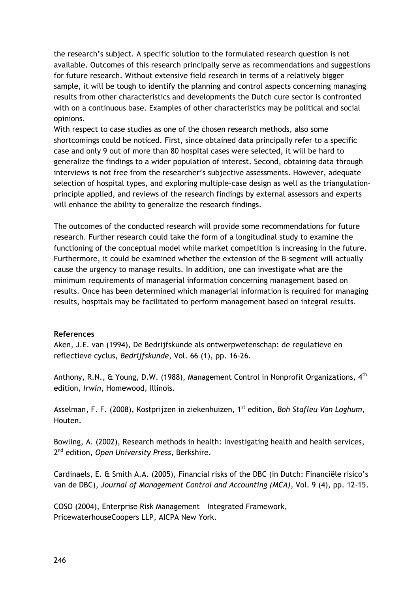the research's subject. A specific solution to the formulated research question is not available. Outcomes of this research principally serve as recommendations and suggestions for future research. Without extensive field research in terms of a relatively bigger sample, it will be tough to identify the planning and control aspects concerning managing results from other characteristics and developments the Dutch cure sector is confronted with on a continuous base. Examples of other characteristics may be political and social opinions.

With respect to case studies as one of the chosen research methods, also some shortcomings could be noticed. First, since obtained data principally refer to a specific case and only 9 out of more than 80 hospital cases were selected, it will be hard to generalize the findings to a wider population of interest. Second, obtaining data through interviews is not free from the researcher's subjective assessments. However, adequate selection of hospital types, and exploring multiple-case design as well as the triangulationprinciple applied, and reviews of the research findings by external assessors and experts will enhance the ability to generalize the research findings.

The outcomes of the conducted research will provide some recommendations for future research. Further research could take the form of a longitudinal study to examine the functioning of the conceptual model while market competition is increasing in the future. Furthermore, it could be examined whether the extension of the B-segment will actually cause the urgency to manage results. In addition, one can investigate what are the minimum requirements of managerial information concerning management based on results. Once has been determined which managerial information is required for managing results, hospitals may be facilitated to perform management based on integral results.

#### **References**

Aken, J.E. van (1994), De Bedrijfskunde als ontwerpwetenschap: de regulatieve en reflectieve cyclus, *Bedrijfskunde*, Vol. 66 (1), pp. 16-26.

Anthony, R.N., & Young, D.W. (1988), Management Control in Nonprofit Organizations, 4<sup>th</sup> edition, *Irwin*, Homewood, Illinois.

Asselman, F. F. (2008), Kostprijzen in ziekenhuizen, 1<sup>st</sup> edition, *Boh Stafleu Van Loghum*, Houten.

Bowling, A. (2002), Research methods in health: Investigating health and health services, 2nd edition, *Open University Press*, Berkshire.

Cardinaels, E. & Smith A.A. (2005), Financial risks of the DBC (in Dutch: Financiële risico's van de DBC), *Journal of Management Control and Accounting (MCA)*, Vol. 9 (4), pp. 12-15.

COSO (2004), Enterprise Risk Management – Integrated Framework, PricewaterhouseCoopers LLP, AICPA New York.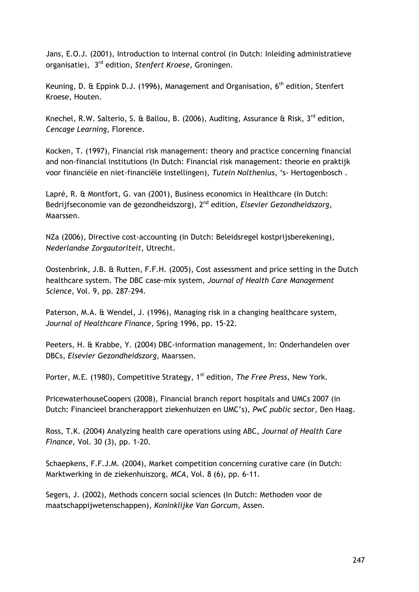Jans, E.O.J. (2001), Introduction to internal control (in Dutch: Inleiding administratieve organisatie), 3rd edition, *Stenfert Kroese,* Groningen.

Keuning, D. & Eppink D.J. (1996), Management and Organisation, 6<sup>th</sup> edition, Stenfert Kroese, Houten.

Knechel, R.W. Salterio, S. & Ballou, B. (2006), Auditing, Assurance & Risk, 3<sup>rd</sup> edition. *Cencage Learning*, Florence.

Kocken, T. (1997), Financial risk management: theory and practice concerning financial and non-financial institutions (In Dutch: Financial risk management: theorie en praktijk voor financiële en niet-financiële instellingen), *Tutein Nolthenius,* 's- Hertogenbosch .

Lapré, R. & Montfort, G. van (2001), Business economics in Healthcare (In Dutch: Bedrijfseconomie van de gezondheidszorg), 2nd edition, *Elsevier Gezondheidszorg,*  Maarssen.

NZa (2006), Directive cost-accounting (in Dutch: Beleidsregel kostprijsberekening), *Nederlandse Zorgautoriteit*, Utrecht.

Oostenbrink, J.B. & Rutten, F.F.H. (2005), Cost assessment and price setting in the Dutch healthcare system. The DBC case-mix system, *Journal of Health Care Management Science*, Vol. 9, pp. 287-294.

Paterson, M.A. & Wendel, J. (1996), Managing risk in a changing healthcare system, *Journal of Healthcare Finance,* Spring 1996, pp. 15-22.

Peeters, H. & Krabbe, Y. (2004) DBC-information management, In: Onderhandelen over DBCs, *Elsevier Gezondheidszorg,* Maarssen.

Porter, M.E. (1980), Competitive Strategy, 1<sup>st</sup> edition, *The Free Press*, New York.

PricewaterhouseCoopers (2008), Financial branch report hospitals and UMCs 2007 (in Dutch: Financieel brancherapport ziekenhuizen en UMC's), *PwC public sector,* Den Haag.

Ross, T.K. (2004) Analyzing health care operations using ABC, *Journal of Health Care Finance,* Vol. 30 (3), pp. 1-20.

Schaepkens, F.F.J.M. (2004), Market competition concerning curative care (in Dutch: Marktwerking in de ziekenhuiszorg, *MCA*, Vol. 8 (6), pp. 6-11.

Segers, J. (2002), Methods concern social sciences (In Dutch: Methoden voor de maatschappijwetenschappen), *Koninklijke Van Gorcum,* Assen.